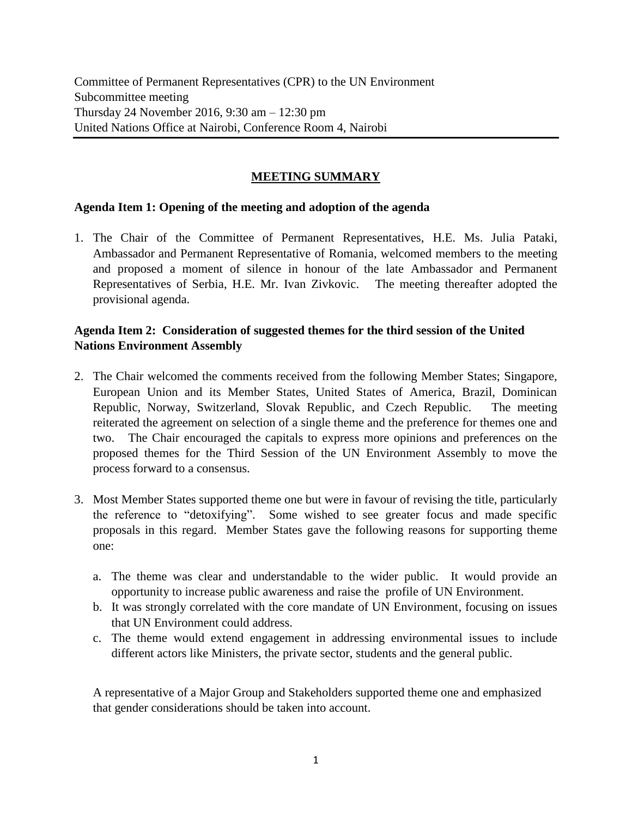Committee of Permanent Representatives (CPR) to the UN Environment Subcommittee meeting Thursday 24 November 2016, 9:30 am – 12:30 pm United Nations Office at Nairobi, Conference Room 4, Nairobi

## **MEETING SUMMARY**

## **Agenda Item 1: Opening of the meeting and adoption of the agenda**

1. The Chair of the Committee of Permanent Representatives, H.E. Ms. Julia Pataki, Ambassador and Permanent Representative of Romania, welcomed members to the meeting and proposed a moment of silence in honour of the late Ambassador and Permanent Representatives of Serbia, H.E. Mr. Ivan Zivkovic. The meeting thereafter adopted the provisional agenda.

## **Agenda Item 2: Consideration of suggested themes for the third session of the United Nations Environment Assembly**

- 2. The Chair welcomed the comments received from the following Member States; Singapore, European Union and its Member States, United States of America, Brazil, Dominican Republic, Norway, Switzerland, Slovak Republic, and Czech Republic. The meeting reiterated the agreement on selection of a single theme and the preference for themes one and two. The Chair encouraged the capitals to express more opinions and preferences on the proposed themes for the Third Session of the UN Environment Assembly to move the process forward to a consensus.
- 3. Most Member States supported theme one but were in favour of revising the title, particularly the reference to "detoxifying". Some wished to see greater focus and made specific proposals in this regard. Member States gave the following reasons for supporting theme one:
	- a. The theme was clear and understandable to the wider public. It would provide an opportunity to increase public awareness and raise the profile of UN Environment.
	- b. It was strongly correlated with the core mandate of UN Environment, focusing on issues that UN Environment could address.
	- c. The theme would extend engagement in addressing environmental issues to include different actors like Ministers, the private sector, students and the general public.

A representative of a Major Group and Stakeholders supported theme one and emphasized that gender considerations should be taken into account.